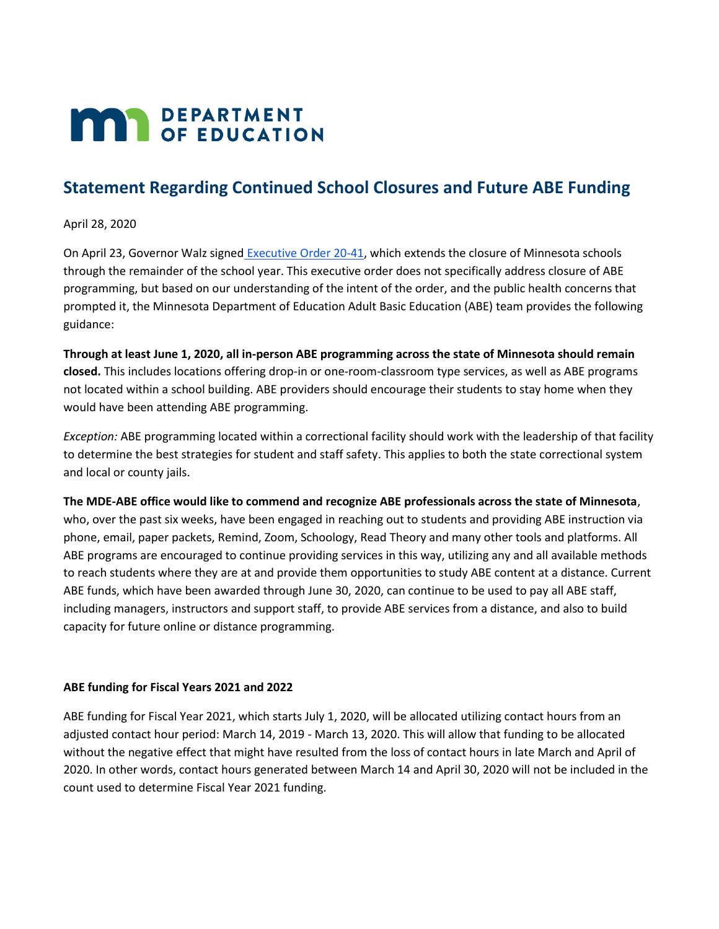## **MAY DEPARTMENT**

## **Statement Regarding Continued School Closures and Future ABE Funding**

April 28, 2020

On April 23, Governor Walz signed [Executive Order 20-41,](https://mn.gov/governor/assets/EO%2020-41%20Final_tcm1055-429563.pdf) which extends the closure of Minnesota schools through the remainder of the school year. This executive order does not specifically address closure of ABE programming, but based on our understanding of the intent of the order, and the public health concerns that prompted it, the Minnesota Department of Education Adult Basic Education (ABE) team provides the following guidance:

**Through at least June 1, 2020, all in-person ABE programming across the state of Minnesota should remain closed.** This includes locations offering drop-in or one-room-classroom type services, as well as ABE programs not located within a school building. ABE providers should encourage their students to stay home when they would have been attending ABE programming.

*Exception:* ABE programming located within a correctional facility should work with the leadership of that facility to determine the best strategies for student and staff safety. This applies to both the state correctional system and local or county jails.

**The MDE-ABE office would like to commend and recognize ABE professionals across the state of Minnesota**, who, over the past six weeks, have been engaged in reaching out to students and providing ABE instruction via phone, email, paper packets, Remind, Zoom, Schoology, Read Theory and many other tools and platforms. All ABE programs are encouraged to continue providing services in this way, utilizing any and all available methods to reach students where they are at and provide them opportunities to study ABE content at a distance. Current ABE funds, which have been awarded through June 30, 2020, can continue to be used to pay all ABE staff, including managers, instructors and support staff, to provide ABE services from a distance, and also to build capacity for future online or distance programming.

## **ABE funding for Fiscal Years 2021 and 2022**

ABE funding for Fiscal Year 2021, which starts July 1, 2020, will be allocated utilizing contact hours from an adjusted contact hour period: March 14, 2019 - March 13, 2020. This will allow that funding to be allocated without the negative effect that might have resulted from the loss of contact hours in late March and April of 2020. In other words, contact hours generated between March 14 and April 30, 2020 will not be included in the count used to determine Fiscal Year 2021 funding.